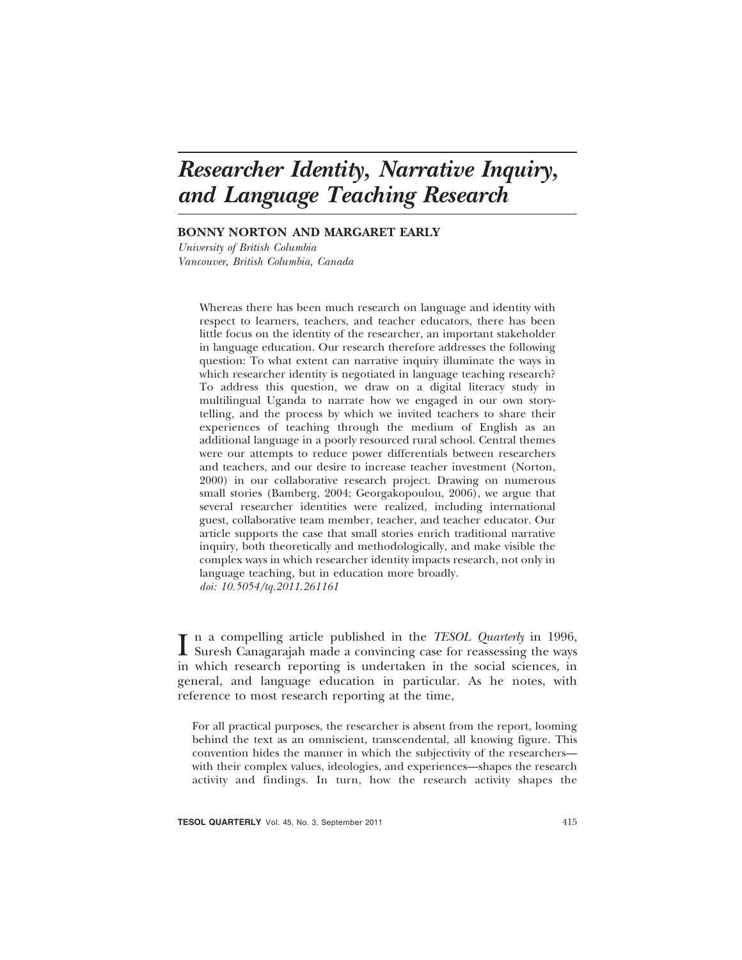# Researcher Identity, Narrative Inquiry, and Language Teaching Research

# BONNY NORTON AND MARGARET EARLY

University of British Columbia Vancouver, British Columbia, Canada

> Whereas there has been much research on language and identity with respect to learners, teachers, and teacher educators, there has been little focus on the identity of the researcher, an important stakeholder in language education. Our research therefore addresses the following question: To what extent can narrative inquiry illuminate the ways in which researcher identity is negotiated in language teaching research? To address this question, we draw on a digital literacy study in multilingual Uganda to narrate how we engaged in our own storytelling, and the process by which we invited teachers to share their experiences of teaching through the medium of English as an additional language in a poorly resourced rural school. Central themes were our attempts to reduce power differentials between researchers and teachers, and our desire to increase teacher investment (Norton, 2000) in our collaborative research project. Drawing on numerous small stories (Bamberg, 2004; Georgakopoulou, 2006), we argue that several researcher identities were realized, including international guest, collaborative team member, teacher, and teacher educator. Our article supports the case that small stories enrich traditional narrative inquiry, both theoretically and methodologically, and make visible the complex ways in which researcher identity impacts research, not only in language teaching, but in education more broadly. doi: 10.5054/tq.2011.261161

I n a compelling article published in the *TESOL Quarterly* in 1996,<br>Suresh Canagarajah made a convincing case for reassessing the ways in which research reporting is undertaken in the social sciences, in general, and language education in particular. As he notes, with reference to most research reporting at the time,

For all practical purposes, the researcher is absent from the report, looming behind the text as an omniscient, transcendental, all knowing figure. This convention hides the manner in which the subjectivity of the researchers with their complex values, ideologies, and experiences—shapes the research activity and findings. In turn, how the research activity shapes the

TESOL QUARTERLY Vol. 45, No. 3, September 2011 415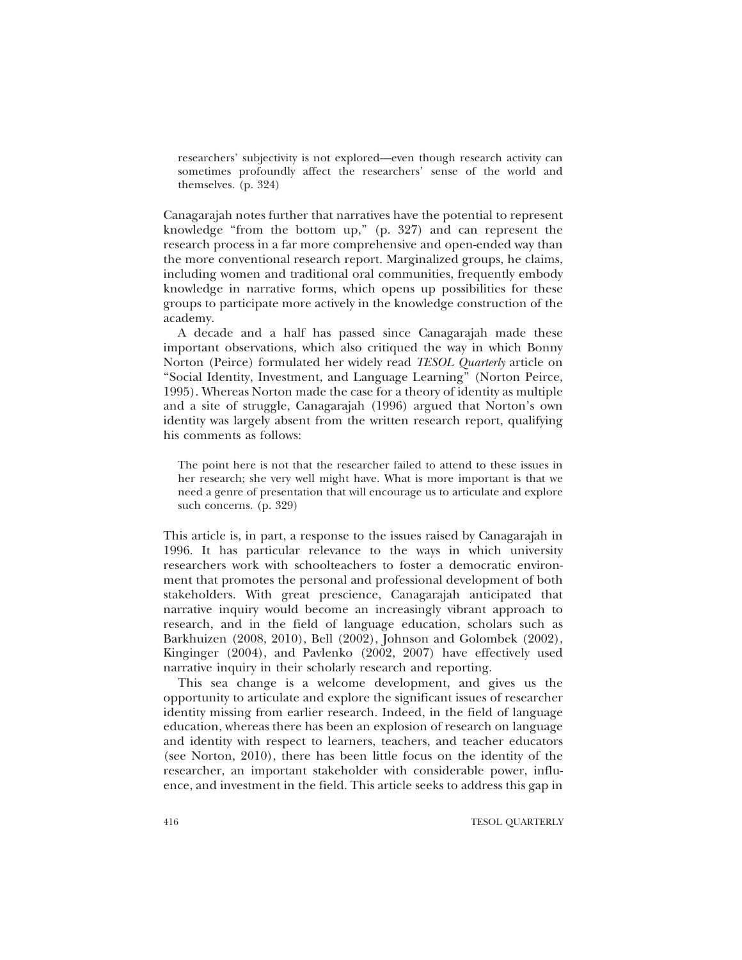researchers' subjectivity is not explored—even though research activity can sometimes profoundly affect the researchers' sense of the world and themselves. (p. 324)

Canagarajah notes further that narratives have the potential to represent knowledge "from the bottom up," (p. 327) and can represent the research process in a far more comprehensive and open-ended way than the more conventional research report. Marginalized groups, he claims, including women and traditional oral communities, frequently embody knowledge in narrative forms, which opens up possibilities for these groups to participate more actively in the knowledge construction of the academy.

A decade and a half has passed since Canagarajah made these important observations, which also critiqued the way in which Bonny Norton (Peirce) formulated her widely read TESOL Quarterly article on ''Social Identity, Investment, and Language Learning'' (Norton Peirce, 1995). Whereas Norton made the case for a theory of identity as multiple and a site of struggle, Canagarajah (1996) argued that Norton's own identity was largely absent from the written research report, qualifying his comments as follows:

The point here is not that the researcher failed to attend to these issues in her research; she very well might have. What is more important is that we need a genre of presentation that will encourage us to articulate and explore such concerns. (p. 329)

This article is, in part, a response to the issues raised by Canagarajah in 1996. It has particular relevance to the ways in which university researchers work with schoolteachers to foster a democratic environment that promotes the personal and professional development of both stakeholders. With great prescience, Canagarajah anticipated that narrative inquiry would become an increasingly vibrant approach to research, and in the field of language education, scholars such as Barkhuizen (2008, 2010), Bell (2002), Johnson and Golombek (2002), Kinginger (2004), and Pavlenko (2002, 2007) have effectively used narrative inquiry in their scholarly research and reporting.

This sea change is a welcome development, and gives us the opportunity to articulate and explore the significant issues of researcher identity missing from earlier research. Indeed, in the field of language education, whereas there has been an explosion of research on language and identity with respect to learners, teachers, and teacher educators (see Norton, 2010), there has been little focus on the identity of the researcher, an important stakeholder with considerable power, influence, and investment in the field. This article seeks to address this gap in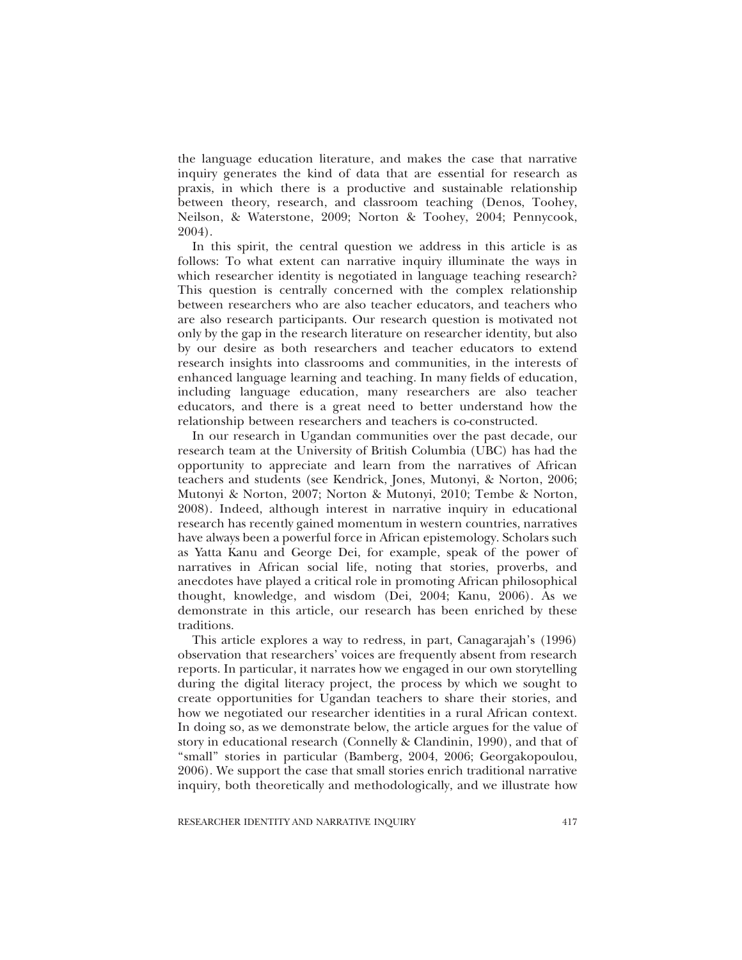the language education literature, and makes the case that narrative inquiry generates the kind of data that are essential for research as praxis, in which there is a productive and sustainable relationship between theory, research, and classroom teaching (Denos, Toohey, Neilson, & Waterstone, 2009; Norton & Toohey, 2004; Pennycook, 2004).

In this spirit, the central question we address in this article is as follows: To what extent can narrative inquiry illuminate the ways in which researcher identity is negotiated in language teaching research? This question is centrally concerned with the complex relationship between researchers who are also teacher educators, and teachers who are also research participants. Our research question is motivated not only by the gap in the research literature on researcher identity, but also by our desire as both researchers and teacher educators to extend research insights into classrooms and communities, in the interests of enhanced language learning and teaching. In many fields of education, including language education, many researchers are also teacher educators, and there is a great need to better understand how the relationship between researchers and teachers is co-constructed.

In our research in Ugandan communities over the past decade, our research team at the University of British Columbia (UBC) has had the opportunity to appreciate and learn from the narratives of African teachers and students (see Kendrick, Jones, Mutonyi, & Norton, 2006; Mutonyi & Norton, 2007; Norton & Mutonyi, 2010; Tembe & Norton, 2008). Indeed, although interest in narrative inquiry in educational research has recently gained momentum in western countries, narratives have always been a powerful force in African epistemology. Scholars such as Yatta Kanu and George Dei, for example, speak of the power of narratives in African social life, noting that stories, proverbs, and anecdotes have played a critical role in promoting African philosophical thought, knowledge, and wisdom (Dei, 2004; Kanu, 2006). As we demonstrate in this article, our research has been enriched by these traditions.

This article explores a way to redress, in part, Canagarajah's (1996) observation that researchers' voices are frequently absent from research reports. In particular, it narrates how we engaged in our own storytelling during the digital literacy project, the process by which we sought to create opportunities for Ugandan teachers to share their stories, and how we negotiated our researcher identities in a rural African context. In doing so, as we demonstrate below, the article argues for the value of story in educational research (Connelly & Clandinin, 1990), and that of ''small'' stories in particular (Bamberg, 2004, 2006; Georgakopoulou, 2006). We support the case that small stories enrich traditional narrative inquiry, both theoretically and methodologically, and we illustrate how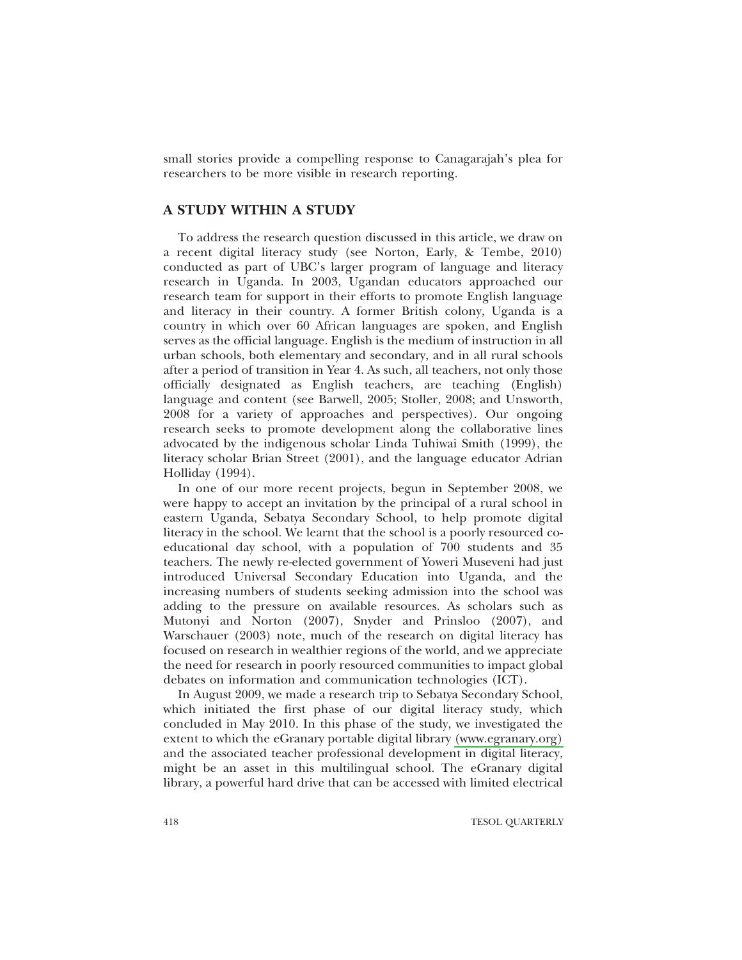small stories provide a compelling response to Canagarajah's plea for researchers to be more visible in research reporting.

# A STUDY WITHIN A STUDY

To address the research question discussed in this article, we draw on a recent digital literacy study (see Norton, Early, & Tembe, 2010) conducted as part of UBC's larger program of language and literacy research in Uganda. In 2003, Ugandan educators approached our research team for support in their efforts to promote English language and literacy in their country. A former British colony, Uganda is a country in which over 60 African languages are spoken, and English serves as the official language. English is the medium of instruction in all urban schools, both elementary and secondary, and in all rural schools after a period of transition in Year 4. As such, all teachers, not only those officially designated as English teachers, are teaching (English) language and content (see Barwell, 2005; Stoller, 2008; and Unsworth, 2008 for a variety of approaches and perspectives). Our ongoing research seeks to promote development along the collaborative lines advocated by the indigenous scholar Linda Tuhiwai Smith (1999), the literacy scholar Brian Street (2001), and the language educator Adrian Holliday (1994).

In one of our more recent projects, begun in September 2008, we were happy to accept an invitation by the principal of a rural school in eastern Uganda, Sebatya Secondary School, to help promote digital literacy in the school. We learnt that the school is a poorly resourced coeducational day school, with a population of 700 students and 35 teachers. The newly re-elected government of Yoweri Museveni had just introduced Universal Secondary Education into Uganda, and the increasing numbers of students seeking admission into the school was adding to the pressure on available resources. As scholars such as Mutonyi and Norton (2007), Snyder and Prinsloo (2007), and Warschauer (2003) note, much of the research on digital literacy has focused on research in wealthier regions of the world, and we appreciate the need for research in poorly resourced communities to impact global debates on information and communication technologies (ICT).

In August 2009, we made a research trip to Sebatya Secondary School, which initiated the first phase of our digital literacy study, which concluded in May 2010. In this phase of the study, we investigated the extent to which the eGranary portable digital library (www.egranary.org) and the associated teacher professional development in digital literacy, might be an asset in this multilingual school. The eGranary digital library, a powerful hard drive that can be accessed with limited electrical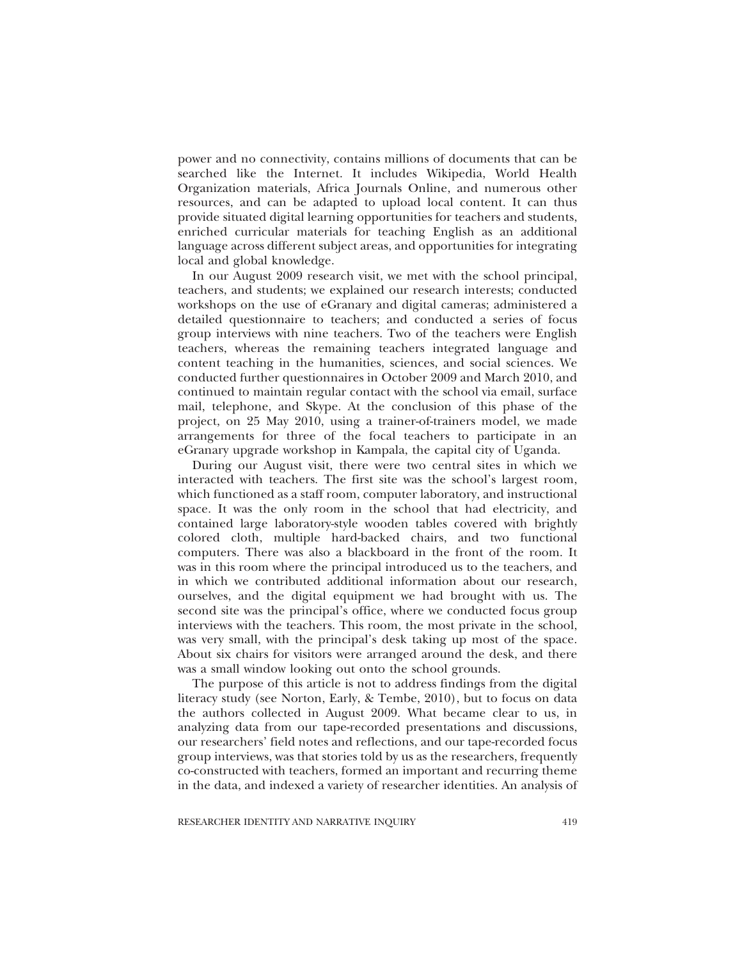power and no connectivity, contains millions of documents that can be searched like the Internet. It includes Wikipedia, World Health Organization materials, Africa Journals Online, and numerous other resources, and can be adapted to upload local content. It can thus provide situated digital learning opportunities for teachers and students, enriched curricular materials for teaching English as an additional language across different subject areas, and opportunities for integrating local and global knowledge.

In our August 2009 research visit, we met with the school principal, teachers, and students; we explained our research interests; conducted workshops on the use of eGranary and digital cameras; administered a detailed questionnaire to teachers; and conducted a series of focus group interviews with nine teachers. Two of the teachers were English teachers, whereas the remaining teachers integrated language and content teaching in the humanities, sciences, and social sciences. We conducted further questionnaires in October 2009 and March 2010, and continued to maintain regular contact with the school via email, surface mail, telephone, and Skype. At the conclusion of this phase of the project, on 25 May 2010, using a trainer-of-trainers model, we made arrangements for three of the focal teachers to participate in an eGranary upgrade workshop in Kampala, the capital city of Uganda.

During our August visit, there were two central sites in which we interacted with teachers. The first site was the school's largest room, which functioned as a staff room, computer laboratory, and instructional space. It was the only room in the school that had electricity, and contained large laboratory-style wooden tables covered with brightly colored cloth, multiple hard-backed chairs, and two functional computers. There was also a blackboard in the front of the room. It was in this room where the principal introduced us to the teachers, and in which we contributed additional information about our research, ourselves, and the digital equipment we had brought with us. The second site was the principal's office, where we conducted focus group interviews with the teachers. This room, the most private in the school, was very small, with the principal's desk taking up most of the space. About six chairs for visitors were arranged around the desk, and there was a small window looking out onto the school grounds.

The purpose of this article is not to address findings from the digital literacy study (see Norton, Early, & Tembe, 2010), but to focus on data the authors collected in August 2009. What became clear to us, in analyzing data from our tape-recorded presentations and discussions, our researchers' field notes and reflections, and our tape-recorded focus group interviews, was that stories told by us as the researchers, frequently co-constructed with teachers, formed an important and recurring theme in the data, and indexed a variety of researcher identities. An analysis of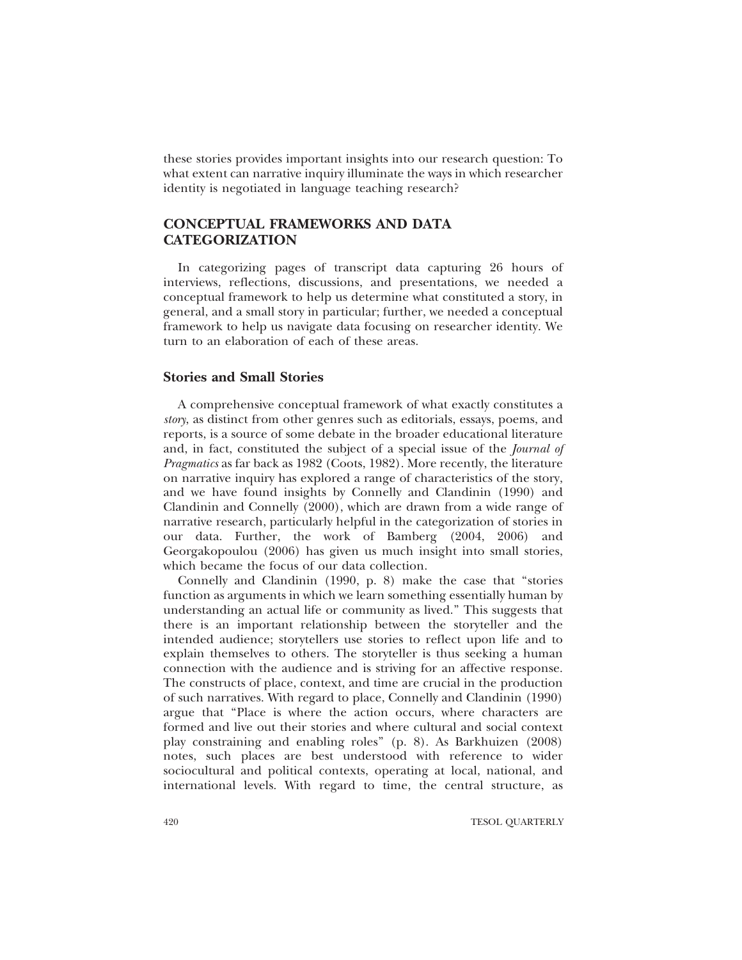these stories provides important insights into our research question: To what extent can narrative inquiry illuminate the ways in which researcher identity is negotiated in language teaching research?

# CONCEPTUAL FRAMEWORKS AND DATA **CATEGORIZATION**

In categorizing pages of transcript data capturing 26 hours of interviews, reflections, discussions, and presentations, we needed a conceptual framework to help us determine what constituted a story, in general, and a small story in particular; further, we needed a conceptual framework to help us navigate data focusing on researcher identity. We turn to an elaboration of each of these areas.

# Stories and Small Stories

A comprehensive conceptual framework of what exactly constitutes a story, as distinct from other genres such as editorials, essays, poems, and reports, is a source of some debate in the broader educational literature and, in fact, constituted the subject of a special issue of the Journal of Pragmatics as far back as 1982 (Coots, 1982). More recently, the literature on narrative inquiry has explored a range of characteristics of the story, and we have found insights by Connelly and Clandinin (1990) and Clandinin and Connelly (2000), which are drawn from a wide range of narrative research, particularly helpful in the categorization of stories in our data. Further, the work of Bamberg (2004, 2006) and Georgakopoulou (2006) has given us much insight into small stories, which became the focus of our data collection.

Connelly and Clandinin (1990, p. 8) make the case that ''stories function as arguments in which we learn something essentially human by understanding an actual life or community as lived.'' This suggests that there is an important relationship between the storyteller and the intended audience; storytellers use stories to reflect upon life and to explain themselves to others. The storyteller is thus seeking a human connection with the audience and is striving for an affective response. The constructs of place, context, and time are crucial in the production of such narratives. With regard to place, Connelly and Clandinin (1990) argue that ''Place is where the action occurs, where characters are formed and live out their stories and where cultural and social context play constraining and enabling roles'' (p. 8). As Barkhuizen (2008) notes, such places are best understood with reference to wider sociocultural and political contexts, operating at local, national, and international levels. With regard to time, the central structure, as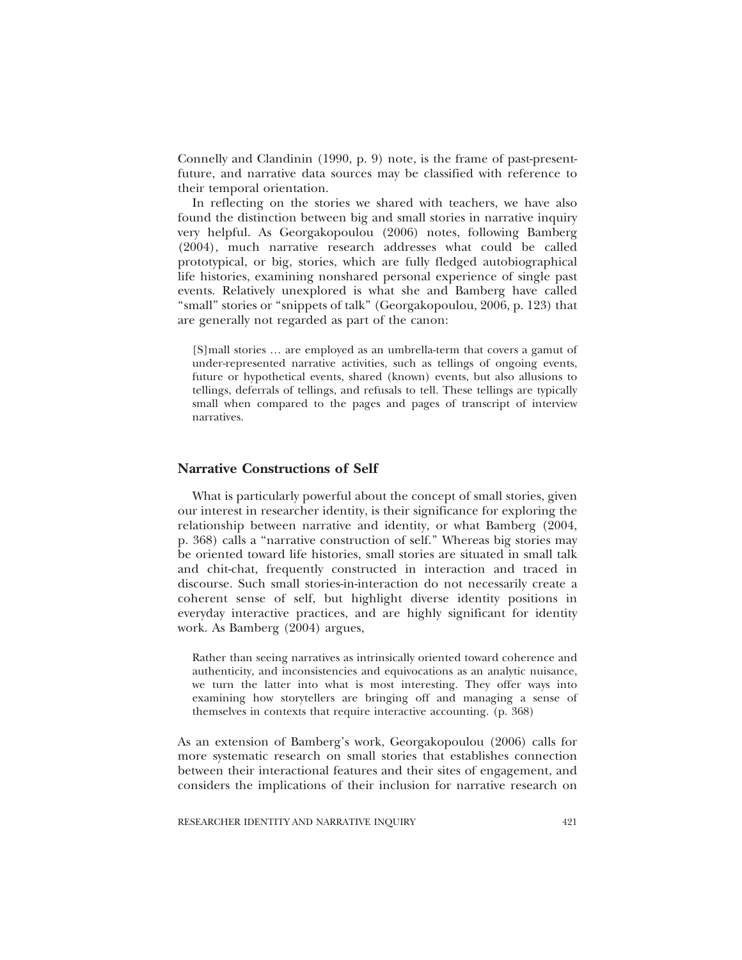Connelly and Clandinin (1990, p. 9) note, is the frame of past-presentfuture, and narrative data sources may be classified with reference to their temporal orientation.

In reflecting on the stories we shared with teachers, we have also found the distinction between big and small stories in narrative inquiry very helpful. As Georgakopoulou (2006) notes, following Bamberg (2004), much narrative research addresses what could be called prototypical, or big, stories, which are fully fledged autobiographical life histories, examining nonshared personal experience of single past events. Relatively unexplored is what she and Bamberg have called "small" stories or "snippets of talk" (Georgakopoulou, 2006, p. 123) that are generally not regarded as part of the canon:

[S]mall stories … are employed as an umbrella-term that covers a gamut of under-represented narrative activities, such as tellings of ongoing events, future or hypothetical events, shared (known) events, but also allusions to tellings, deferrals of tellings, and refusals to tell. These tellings are typically small when compared to the pages and pages of transcript of interview narratives.

# Narrative Constructions of Self

What is particularly powerful about the concept of small stories, given our interest in researcher identity, is their significance for exploring the relationship between narrative and identity, or what Bamberg (2004, p. 368) calls a ''narrative construction of self.'' Whereas big stories may be oriented toward life histories, small stories are situated in small talk and chit-chat, frequently constructed in interaction and traced in discourse. Such small stories-in-interaction do not necessarily create a coherent sense of self, but highlight diverse identity positions in everyday interactive practices, and are highly significant for identity work. As Bamberg (2004) argues,

Rather than seeing narratives as intrinsically oriented toward coherence and authenticity, and inconsistencies and equivocations as an analytic nuisance, we turn the latter into what is most interesting. They offer ways into examining how storytellers are bringing off and managing a sense of themselves in contexts that require interactive accounting. (p. 368)

As an extension of Bamberg's work, Georgakopoulou (2006) calls for more systematic research on small stories that establishes connection between their interactional features and their sites of engagement, and considers the implications of their inclusion for narrative research on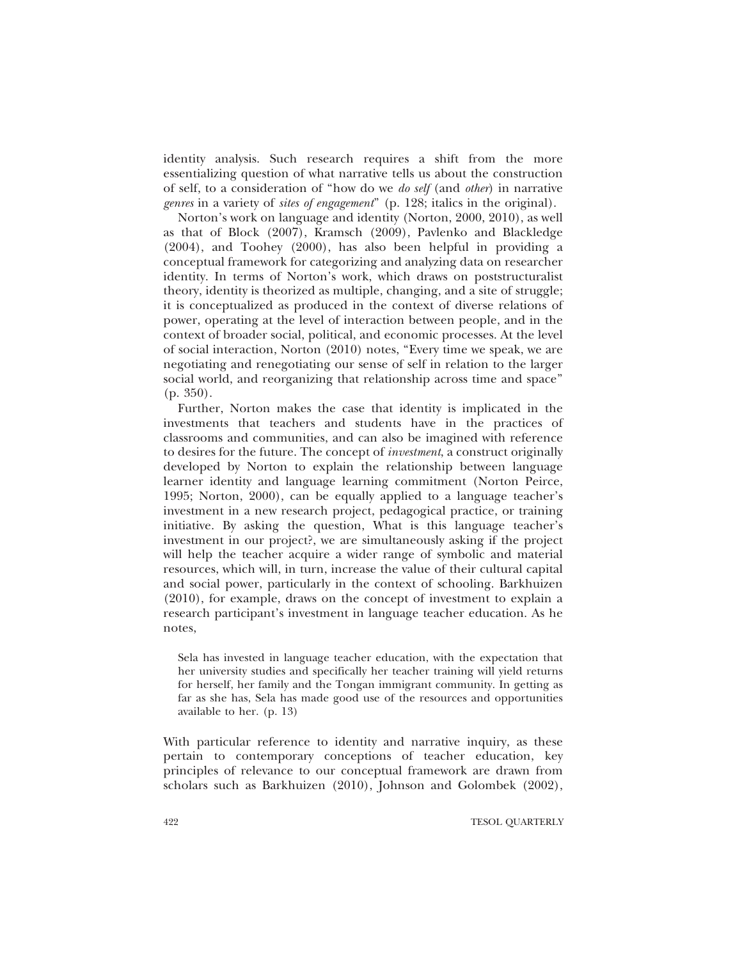identity analysis. Such research requires a shift from the more essentializing question of what narrative tells us about the construction of self, to a consideration of ''how do we do self (and other) in narrative genres in a variety of sites of engagement'' (p. 128; italics in the original).

Norton's work on language and identity (Norton, 2000, 2010), as well as that of Block (2007), Kramsch (2009), Pavlenko and Blackledge (2004), and Toohey (2000), has also been helpful in providing a conceptual framework for categorizing and analyzing data on researcher identity. In terms of Norton's work, which draws on poststructuralist theory, identity is theorized as multiple, changing, and a site of struggle; it is conceptualized as produced in the context of diverse relations of power, operating at the level of interaction between people, and in the context of broader social, political, and economic processes. At the level of social interaction, Norton (2010) notes, ''Every time we speak, we are negotiating and renegotiating our sense of self in relation to the larger social world, and reorganizing that relationship across time and space'' (p. 350).

Further, Norton makes the case that identity is implicated in the investments that teachers and students have in the practices of classrooms and communities, and can also be imagined with reference to desires for the future. The concept of investment, a construct originally developed by Norton to explain the relationship between language learner identity and language learning commitment (Norton Peirce, 1995; Norton, 2000), can be equally applied to a language teacher's investment in a new research project, pedagogical practice, or training initiative. By asking the question, What is this language teacher's investment in our project?, we are simultaneously asking if the project will help the teacher acquire a wider range of symbolic and material resources, which will, in turn, increase the value of their cultural capital and social power, particularly in the context of schooling. Barkhuizen (2010), for example, draws on the concept of investment to explain a research participant's investment in language teacher education. As he notes,

Sela has invested in language teacher education, with the expectation that her university studies and specifically her teacher training will yield returns for herself, her family and the Tongan immigrant community. In getting as far as she has, Sela has made good use of the resources and opportunities available to her. (p. 13)

With particular reference to identity and narrative inquiry, as these pertain to contemporary conceptions of teacher education, key principles of relevance to our conceptual framework are drawn from scholars such as Barkhuizen (2010), Johnson and Golombek (2002),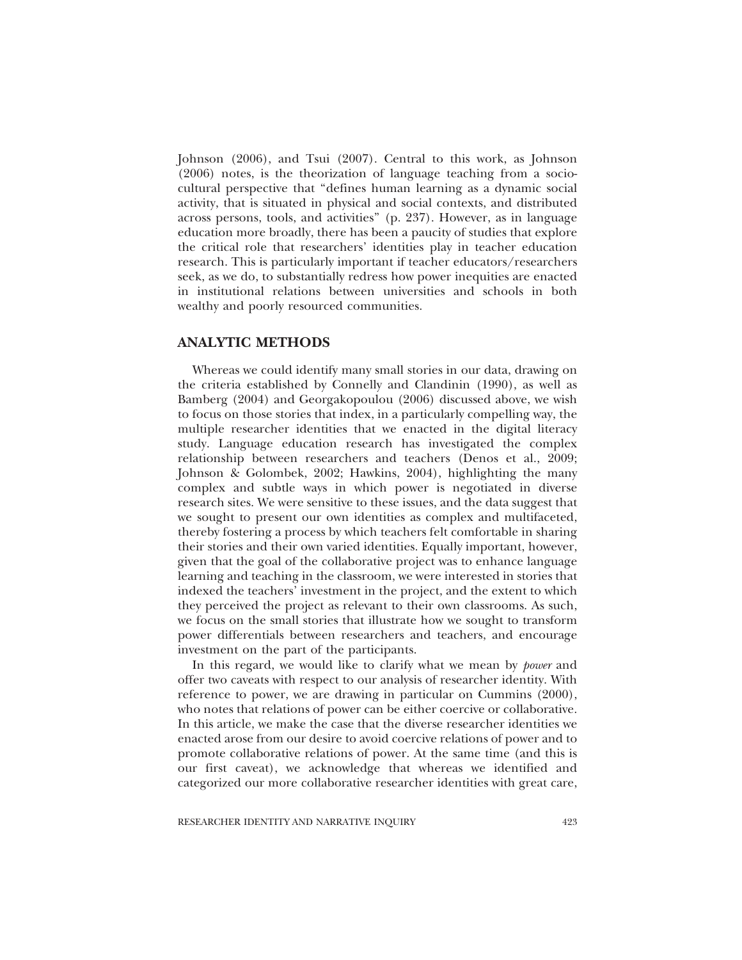Johnson (2006), and Tsui (2007). Central to this work, as Johnson (2006) notes, is the theorization of language teaching from a sociocultural perspective that ''defines human learning as a dynamic social activity, that is situated in physical and social contexts, and distributed across persons, tools, and activities'' (p. 237). However, as in language education more broadly, there has been a paucity of studies that explore the critical role that researchers' identities play in teacher education research. This is particularly important if teacher educators/researchers seek, as we do, to substantially redress how power inequities are enacted in institutional relations between universities and schools in both wealthy and poorly resourced communities.

# ANALYTIC METHODS

Whereas we could identify many small stories in our data, drawing on the criteria established by Connelly and Clandinin (1990), as well as Bamberg (2004) and Georgakopoulou (2006) discussed above, we wish to focus on those stories that index, in a particularly compelling way, the multiple researcher identities that we enacted in the digital literacy study. Language education research has investigated the complex relationship between researchers and teachers (Denos et al., 2009; Johnson & Golombek, 2002; Hawkins, 2004), highlighting the many complex and subtle ways in which power is negotiated in diverse research sites. We were sensitive to these issues, and the data suggest that we sought to present our own identities as complex and multifaceted, thereby fostering a process by which teachers felt comfortable in sharing their stories and their own varied identities. Equally important, however, given that the goal of the collaborative project was to enhance language learning and teaching in the classroom, we were interested in stories that indexed the teachers' investment in the project, and the extent to which they perceived the project as relevant to their own classrooms. As such, we focus on the small stories that illustrate how we sought to transform power differentials between researchers and teachers, and encourage investment on the part of the participants.

In this regard, we would like to clarify what we mean by power and offer two caveats with respect to our analysis of researcher identity. With reference to power, we are drawing in particular on Cummins (2000), who notes that relations of power can be either coercive or collaborative. In this article, we make the case that the diverse researcher identities we enacted arose from our desire to avoid coercive relations of power and to promote collaborative relations of power. At the same time (and this is our first caveat), we acknowledge that whereas we identified and categorized our more collaborative researcher identities with great care,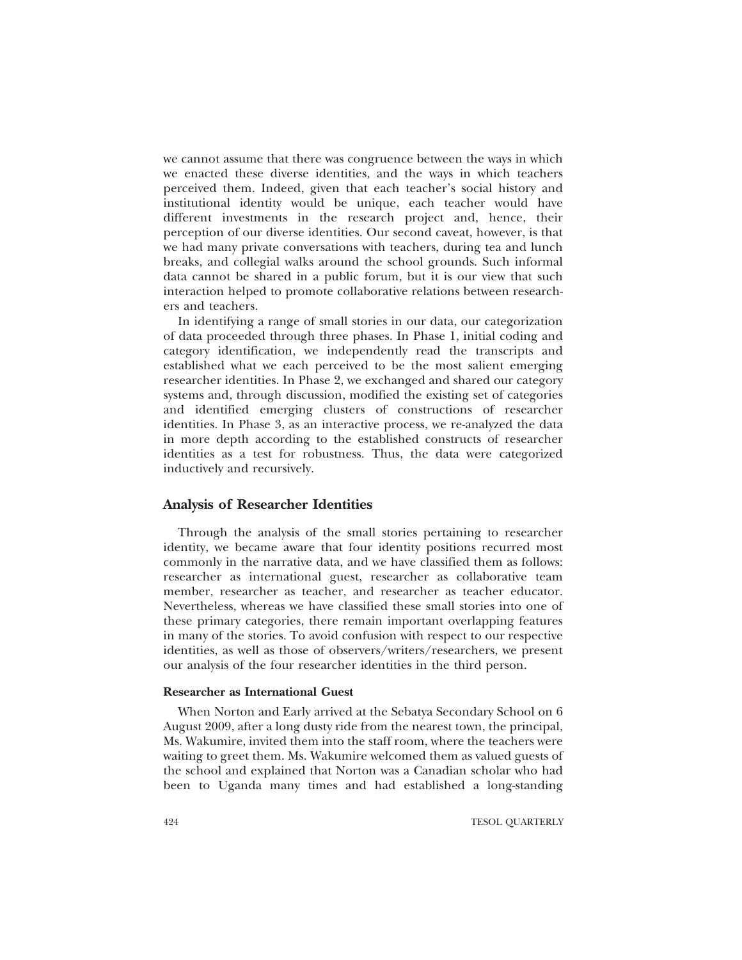we cannot assume that there was congruence between the ways in which we enacted these diverse identities, and the ways in which teachers perceived them. Indeed, given that each teacher's social history and institutional identity would be unique, each teacher would have different investments in the research project and, hence, their perception of our diverse identities. Our second caveat, however, is that we had many private conversations with teachers, during tea and lunch breaks, and collegial walks around the school grounds. Such informal data cannot be shared in a public forum, but it is our view that such interaction helped to promote collaborative relations between researchers and teachers.

In identifying a range of small stories in our data, our categorization of data proceeded through three phases. In Phase 1, initial coding and category identification, we independently read the transcripts and established what we each perceived to be the most salient emerging researcher identities. In Phase 2, we exchanged and shared our category systems and, through discussion, modified the existing set of categories and identified emerging clusters of constructions of researcher identities. In Phase 3, as an interactive process, we re-analyzed the data in more depth according to the established constructs of researcher identities as a test for robustness. Thus, the data were categorized inductively and recursively.

## Analysis of Researcher Identities

Through the analysis of the small stories pertaining to researcher identity, we became aware that four identity positions recurred most commonly in the narrative data, and we have classified them as follows: researcher as international guest, researcher as collaborative team member, researcher as teacher, and researcher as teacher educator. Nevertheless, whereas we have classified these small stories into one of these primary categories, there remain important overlapping features in many of the stories. To avoid confusion with respect to our respective identities, as well as those of observers/writers/researchers, we present our analysis of the four researcher identities in the third person.

#### Researcher as International Guest

When Norton and Early arrived at the Sebatya Secondary School on 6 August 2009, after a long dusty ride from the nearest town, the principal, Ms. Wakumire, invited them into the staff room, where the teachers were waiting to greet them. Ms. Wakumire welcomed them as valued guests of the school and explained that Norton was a Canadian scholar who had been to Uganda many times and had established a long-standing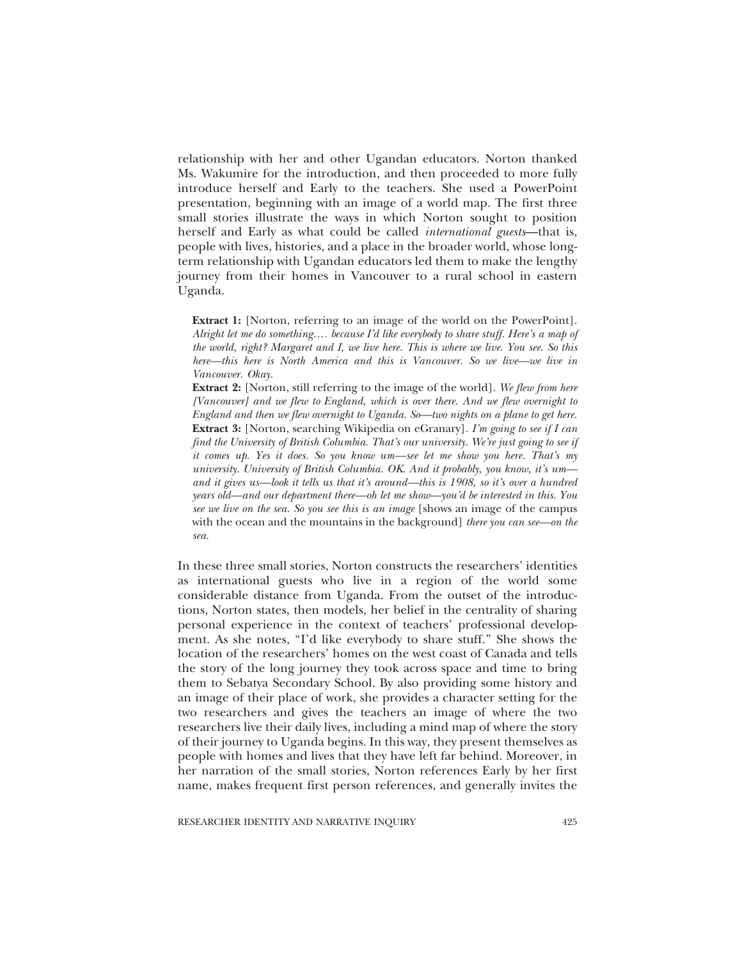relationship with her and other Ugandan educators. Norton thanked Ms. Wakumire for the introduction, and then proceeded to more fully introduce herself and Early to the teachers. She used a PowerPoint presentation, beginning with an image of a world map. The first three small stories illustrate the ways in which Norton sought to position herself and Early as what could be called *international guests*—that is, people with lives, histories, and a place in the broader world, whose longterm relationship with Ugandan educators led them to make the lengthy journey from their homes in Vancouver to a rural school in eastern Uganda.

Extract 1: [Norton, referring to an image of the world on the PowerPoint]. Alright let me do something…. because I'd like everybody to share stuff. Here's a map of the world, right? Margaret and I, we live here. This is where we live. You see. So this here—this here is North America and this is Vancouver. So we live—we live in Vancouver. Okay.

**Extract 2:** [Norton, still referring to the image of the world]. We flew from here [Vancouver] and we flew to England, which is over there. And we flew overnight to England and then we flew overnight to Uganda. So—two nights on a plane to get here. **Extract 3:** [Norton, searching Wikipedia on eGranary]. I'm going to see if I can find the University of British Columbia. That's our university. We're just going to see if it comes up. Yes it does. So you know um—see let me show you here. That's my university. University of British Columbia. OK. And it probably, you know, it's um and it gives us—look it tells us that it's around—this is 1908, so it's over a hundred years old—and our department there—oh let me show—you'd be interested in this. You see we live on the sea. So you see this is an image [shows an image of the campus with the ocean and the mountains in the background] there you can see—on the sea.

In these three small stories, Norton constructs the researchers' identities as international guests who live in a region of the world some considerable distance from Uganda. From the outset of the introductions, Norton states, then models, her belief in the centrality of sharing personal experience in the context of teachers' professional development. As she notes, "I'd like everybody to share stuff." She shows the location of the researchers' homes on the west coast of Canada and tells the story of the long journey they took across space and time to bring them to Sebatya Secondary School. By also providing some history and an image of their place of work, she provides a character setting for the two researchers and gives the teachers an image of where the two researchers live their daily lives, including a mind map of where the story of their journey to Uganda begins. In this way, they present themselves as people with homes and lives that they have left far behind. Moreover, in her narration of the small stories, Norton references Early by her first name, makes frequent first person references, and generally invites the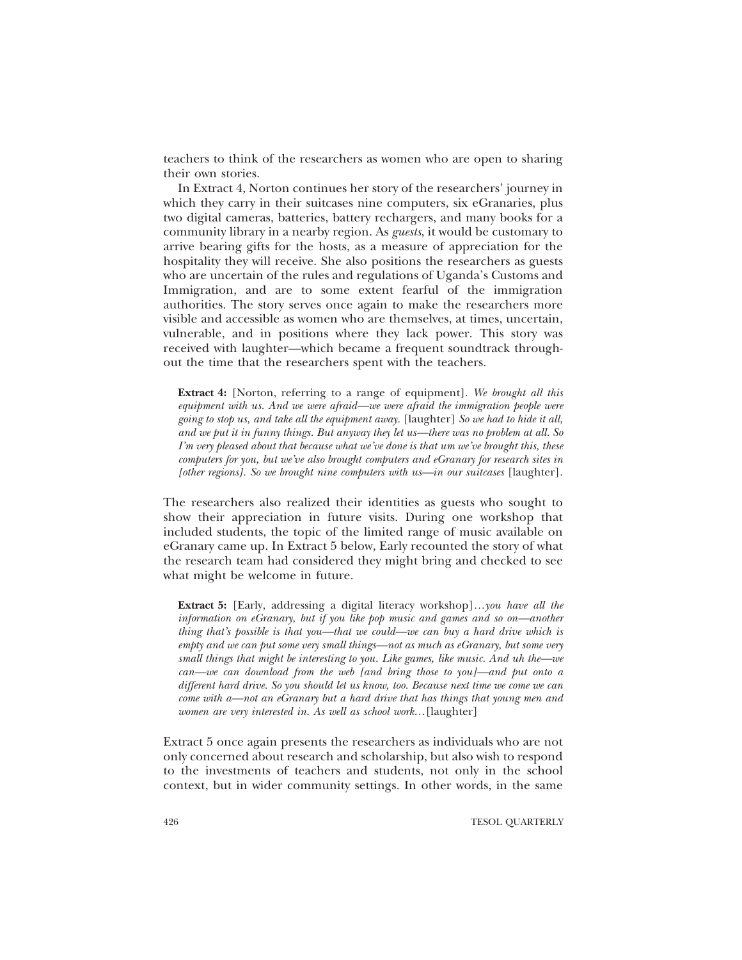teachers to think of the researchers as women who are open to sharing their own stories.

In Extract 4, Norton continues her story of the researchers' journey in which they carry in their suitcases nine computers, six eGranaries, plus two digital cameras, batteries, battery rechargers, and many books for a community library in a nearby region. As guests, it would be customary to arrive bearing gifts for the hosts, as a measure of appreciation for the hospitality they will receive. She also positions the researchers as guests who are uncertain of the rules and regulations of Uganda's Customs and Immigration, and are to some extent fearful of the immigration authorities. The story serves once again to make the researchers more visible and accessible as women who are themselves, at times, uncertain, vulnerable, and in positions where they lack power. This story was received with laughter—which became a frequent soundtrack throughout the time that the researchers spent with the teachers.

**Extract 4:** [Norton, referring to a range of equipment]. We brought all this equipment with us. And we were afraid—we were afraid the immigration people were going to stop us, and take all the equipment away. [laughter] So we had to hide it all, and we put it in funny things. But anyway they let us—there was no problem at all. So I'm very pleased about that because what we've done is that um we've brought this, these computers for you, but we've also brought computers and eGranary for research sites in [other regions]. So we brought nine computers with us—in our suitcases [laughter].

The researchers also realized their identities as guests who sought to show their appreciation in future visits. During one workshop that included students, the topic of the limited range of music available on eGranary came up. In Extract 5 below, Early recounted the story of what the research team had considered they might bring and checked to see what might be welcome in future.

Extract 5: [Early, addressing a digital literacy workshop]...you have all the information on eGranary, but if you like pop music and games and so on—another thing that's possible is that you—that we could—we can buy a hard drive which is empty and we can put some very small things—not as much as eGranary, but some very small things that might be interesting to you. Like games, like music. And uh the—we can—we can download from the web [and bring those to you]—and put onto a different hard drive. So you should let us know, too. Because next time we come we can come with a—not an eGranary but a hard drive that has things that young men and women are very interested in. As well as school work...[laughter]

Extract 5 once again presents the researchers as individuals who are not only concerned about research and scholarship, but also wish to respond to the investments of teachers and students, not only in the school context, but in wider community settings. In other words, in the same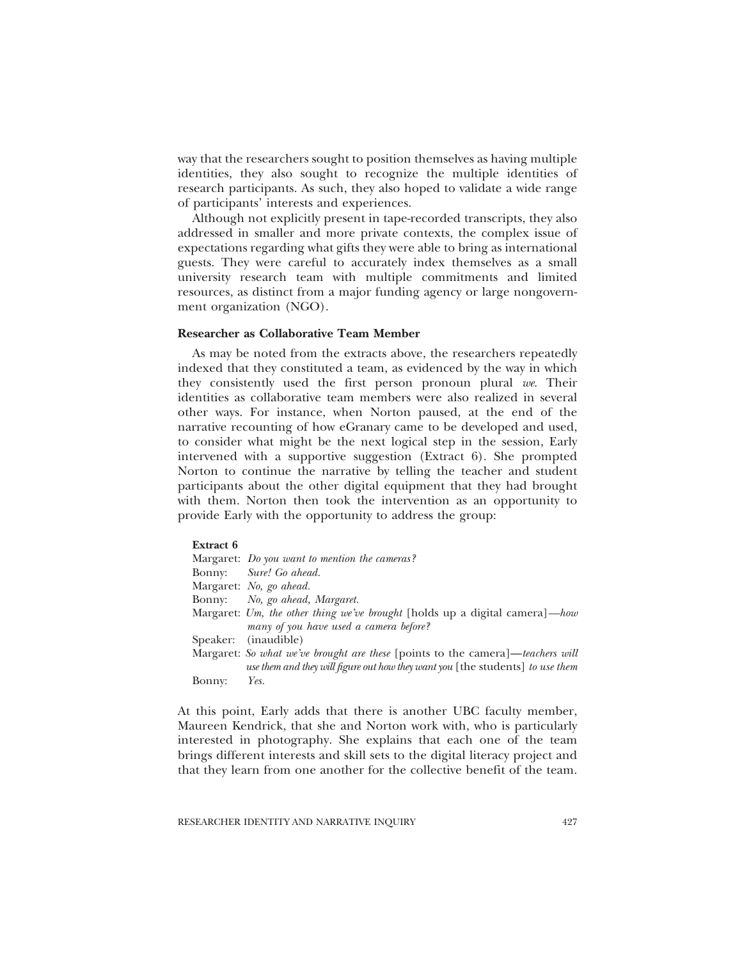way that the researchers sought to position themselves as having multiple identities, they also sought to recognize the multiple identities of research participants. As such, they also hoped to validate a wide range of participants' interests and experiences.

Although not explicitly present in tape-recorded transcripts, they also addressed in smaller and more private contexts, the complex issue of expectations regarding what gifts they were able to bring as international guests. They were careful to accurately index themselves as a small university research team with multiple commitments and limited resources, as distinct from a major funding agency or large nongovernment organization (NGO).

# Researcher as Collaborative Team Member

As may be noted from the extracts above, the researchers repeatedly indexed that they constituted a team, as evidenced by the way in which they consistently used the first person pronoun plural we. Their identities as collaborative team members were also realized in several other ways. For instance, when Norton paused, at the end of the narrative recounting of how eGranary came to be developed and used, to consider what might be the next logical step in the session, Early intervened with a supportive suggestion (Extract 6). She prompted Norton to continue the narrative by telling the teacher and student participants about the other digital equipment that they had brought with them. Norton then took the intervention as an opportunity to provide Early with the opportunity to address the group:

#### Extract 6

|        | Margaret: Do you want to mention the cameras?                                  |
|--------|--------------------------------------------------------------------------------|
|        | Bonny: Sure! Go ahead.                                                         |
|        | Margaret: No, go ahead.                                                        |
|        | Bonny: <i>No, go ahead, Margaret.</i>                                          |
|        | Margaret: Um, the other thing we've brought [holds up a digital camera]—how    |
|        | many of you have used a camera before?                                         |
|        | Speaker: (inaudible)                                                           |
|        | Margaret: So what we've brought are these [points to the camera]—teachers will |
|        | use them and they will figure out how they want you [the students] to use them |
| Bonny: | Yes.                                                                           |

At this point, Early adds that there is another UBC faculty member, Maureen Kendrick, that she and Norton work with, who is particularly interested in photography. She explains that each one of the team brings different interests and skill sets to the digital literacy project and that they learn from one another for the collective benefit of the team.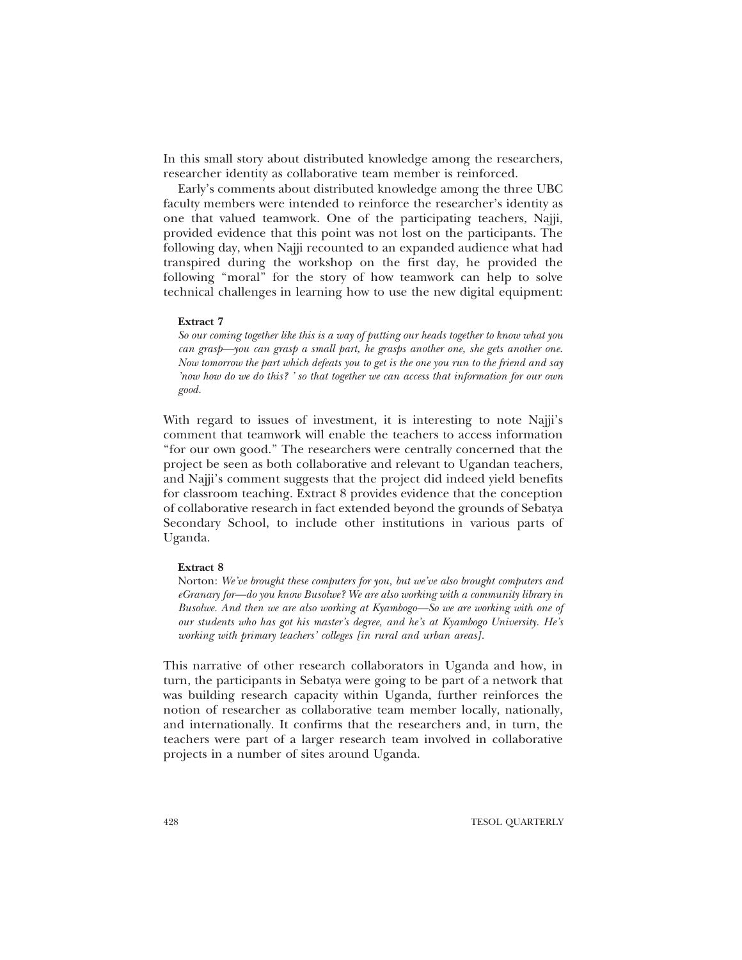In this small story about distributed knowledge among the researchers, researcher identity as collaborative team member is reinforced.

Early's comments about distributed knowledge among the three UBC faculty members were intended to reinforce the researcher's identity as one that valued teamwork. One of the participating teachers, Najji, provided evidence that this point was not lost on the participants. The following day, when Najji recounted to an expanded audience what had transpired during the workshop on the first day, he provided the following ''moral'' for the story of how teamwork can help to solve technical challenges in learning how to use the new digital equipment:

#### Extract 7

So our coming together like this is a way of putting our heads together to know what you can grasp—you can grasp a small part, he grasps another one, she gets another one. Now tomorrow the part which defeats you to get is the one you run to the friend and say 'now how do we do this? ' so that together we can access that information for our own good.

With regard to issues of investment, it is interesting to note Najji's comment that teamwork will enable the teachers to access information ''for our own good.'' The researchers were centrally concerned that the project be seen as both collaborative and relevant to Ugandan teachers, and Najji's comment suggests that the project did indeed yield benefits for classroom teaching. Extract 8 provides evidence that the conception of collaborative research in fact extended beyond the grounds of Sebatya Secondary School, to include other institutions in various parts of Uganda.

#### Extract 8

Norton: We've brought these computers for you, but we've also brought computers and eGranary for—do you know Busolwe? We are also working with a community library in Busolwe. And then we are also working at Kyambogo—So we are working with one of our students who has got his master's degree, and he's at Kyambogo University. He's working with primary teachers' colleges [in rural and urban areas].

This narrative of other research collaborators in Uganda and how, in turn, the participants in Sebatya were going to be part of a network that was building research capacity within Uganda, further reinforces the notion of researcher as collaborative team member locally, nationally, and internationally. It confirms that the researchers and, in turn, the teachers were part of a larger research team involved in collaborative projects in a number of sites around Uganda.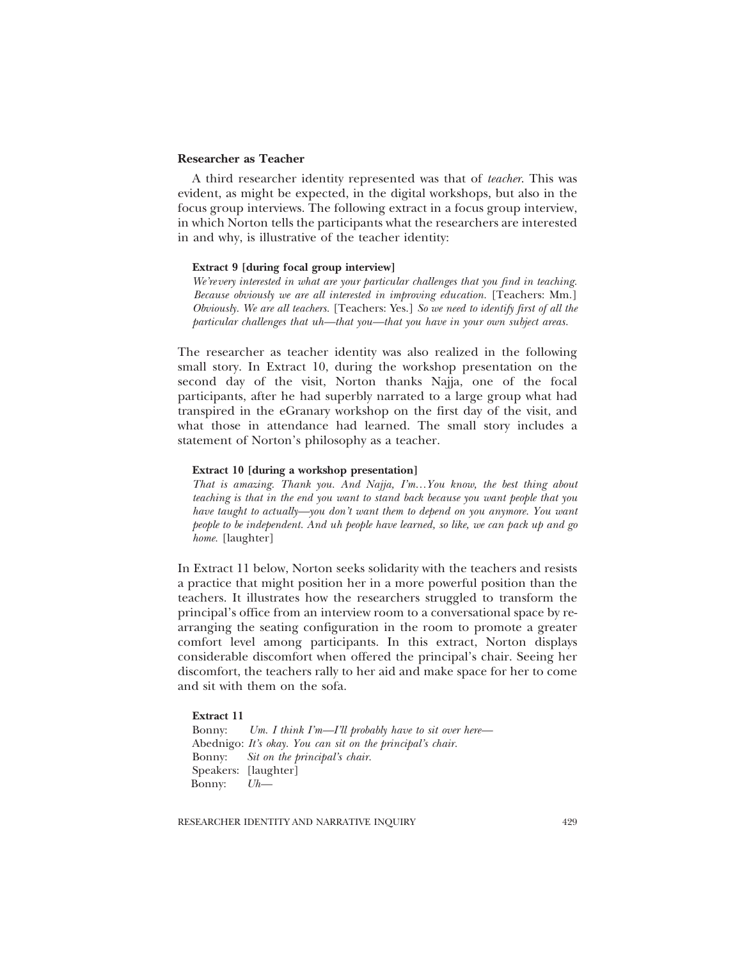#### Researcher as Teacher

A third researcher identity represented was that of teacher. This was evident, as might be expected, in the digital workshops, but also in the focus group interviews. The following extract in a focus group interview, in which Norton tells the participants what the researchers are interested in and why, is illustrative of the teacher identity:

#### Extract 9 [during focal group interview]

We'revery interested in what are your particular challenges that you find in teaching. Because obviously we are all interested in improving education. [Teachers: Mm.] Obviously. We are all teachers. [Teachers: Yes.] So we need to identify first of all the particular challenges that uh—that you—that you have in your own subject areas.

The researcher as teacher identity was also realized in the following small story. In Extract 10, during the workshop presentation on the second day of the visit, Norton thanks Najja, one of the focal participants, after he had superbly narrated to a large group what had transpired in the eGranary workshop on the first day of the visit, and what those in attendance had learned. The small story includes a statement of Norton's philosophy as a teacher.

#### Extract 10 [during a workshop presentation]

That is amazing. Thank you. And Najja, I'm…You know, the best thing about teaching is that in the end you want to stand back because you want people that you have taught to actually—you don't want them to depend on you anymore. You want people to be independent. And uh people have learned, so like, we can pack up and go home. [laughter]

In Extract 11 below, Norton seeks solidarity with the teachers and resists a practice that might position her in a more powerful position than the teachers. It illustrates how the researchers struggled to transform the principal's office from an interview room to a conversational space by rearranging the seating configuration in the room to promote a greater comfort level among participants. In this extract, Norton displays considerable discomfort when offered the principal's chair. Seeing her discomfort, the teachers rally to her aid and make space for her to come and sit with them on the sofa.

Extract 11 Bonny: Um. I think I'm—I'll probably have to sit over here— Abednigo: It's okay. You can sit on the principal's chair. Bonny: Sit on the principal's chair. Speakers: [laughter] Bonny: Uh—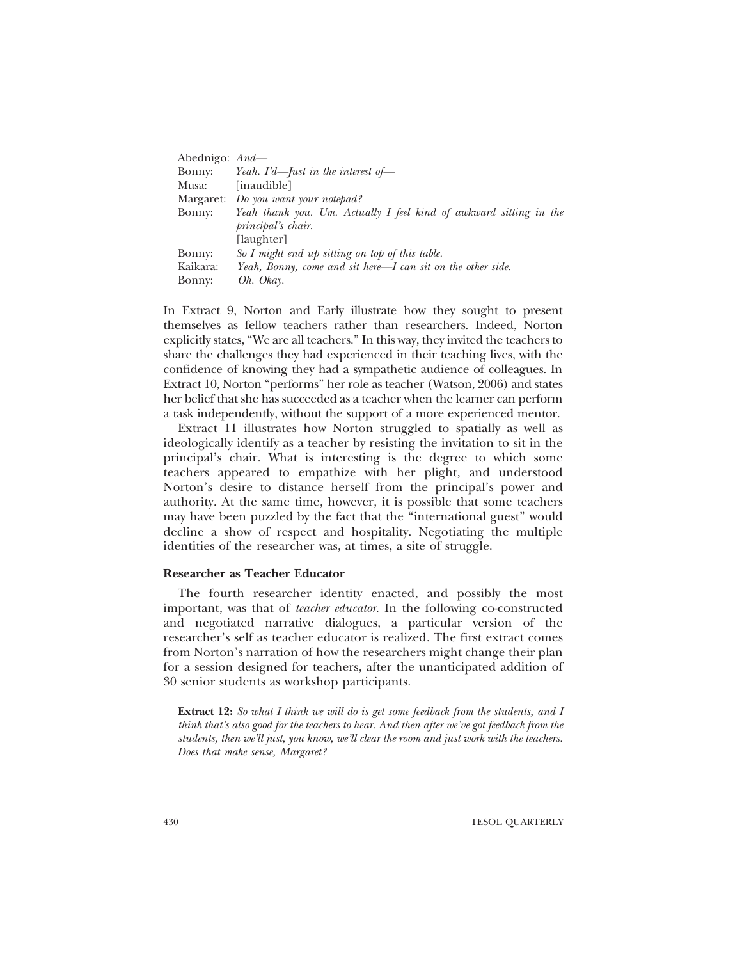| Abednigo: $And$ —                                                  |
|--------------------------------------------------------------------|
| Yeah. I'd—Just in the interest of—                                 |
| [inaudible]                                                        |
| Do you want your notepad?                                          |
| Yeah thank you. Um. Actually I feel kind of awkward sitting in the |
| principal's chair.                                                 |
| [laughter]                                                         |
| So I might end up sitting on top of this table.                    |
| Yeah, Bonny, come and sit here—I can sit on the other side.        |
| Oh. Okay.                                                          |
|                                                                    |

In Extract 9, Norton and Early illustrate how they sought to present themselves as fellow teachers rather than researchers. Indeed, Norton explicitly states, ''We are all teachers.'' In this way, they invited the teachers to share the challenges they had experienced in their teaching lives, with the confidence of knowing they had a sympathetic audience of colleagues. In Extract 10, Norton ''performs'' her role as teacher (Watson, 2006) and states her belief that she has succeeded as a teacher when the learner can perform a task independently, without the support of a more experienced mentor.

Extract 11 illustrates how Norton struggled to spatially as well as ideologically identify as a teacher by resisting the invitation to sit in the principal's chair. What is interesting is the degree to which some teachers appeared to empathize with her plight, and understood Norton's desire to distance herself from the principal's power and authority. At the same time, however, it is possible that some teachers may have been puzzled by the fact that the ''international guest'' would decline a show of respect and hospitality. Negotiating the multiple identities of the researcher was, at times, a site of struggle.

# Researcher as Teacher Educator

The fourth researcher identity enacted, and possibly the most important, was that of teacher educator. In the following co-constructed and negotiated narrative dialogues, a particular version of the researcher's self as teacher educator is realized. The first extract comes from Norton's narration of how the researchers might change their plan for a session designed for teachers, after the unanticipated addition of 30 senior students as workshop participants.

**Extract 12:** So what I think we will do is get some feedback from the students, and I think that's also good for the teachers to hear. And then after we've got feedback from the students, then we'll just, you know, we'll clear the room and just work with the teachers. Does that make sense, Margaret?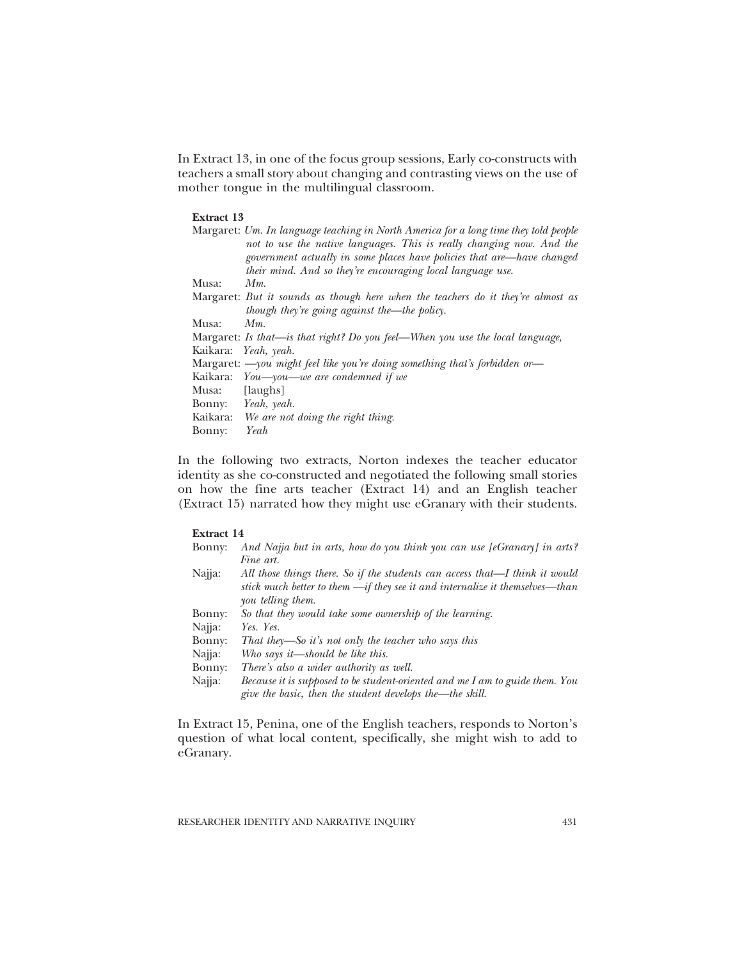In Extract 13, in one of the focus group sessions, Early co-constructs with teachers a small story about changing and contrasting views on the use of mother tongue in the multilingual classroom.

#### Extract 13

| Margaret: Um. In language teaching in North America for a long time they told people   |
|----------------------------------------------------------------------------------------|
| not to use the native languages. This is really changing now. And the                  |
| government actually in some places have policies that are-have changed                 |
| their mind. And so they're encouraging local language use.                             |
| $Mm$ .                                                                                 |
| Margaret: But it sounds as though here when the teachers do it they're almost as       |
| though they're going against the-the policy.                                           |
| $Mm$ .                                                                                 |
| Margaret: Is that-is that right? Do you feel-When you use the local language,          |
| Kaikara: <i>Yeah</i> , yeah.                                                           |
| Margaret: $\rightarrow$ you might feel like you're doing something that's forbidden or |
| Kaikara: <i>You—you—we are condemned if we</i>                                         |
| [laughs]                                                                               |
| Bonny: <i>Yeah</i> , yeah.                                                             |
| Kaikara: We are not doing the right thing.                                             |
| Yeah                                                                                   |
|                                                                                        |

In the following two extracts, Norton indexes the teacher educator identity as she co-constructed and negotiated the following small stories on how the fine arts teacher (Extract 14) and an English teacher (Extract 15) narrated how they might use eGranary with their students.

#### Extract 14

- Bonny: And Najja but in arts, how do you think you can use [eGranary] in arts? Fine art.
- Najja: All those things there. So if the students can access that—I think it would stick much better to them —if they see it and internalize it themselves—than you telling them.
- Bonny: So that they would take some ownership of the learning.

- Najja: Yes. Yes.<br>Bonny: That they Bonny: That they—So it's not only the teacher who says this Najja: Who says it—should be like this.
- Who says it—should be like this.
- Bonny: There's also a wider authority as well.
- Najja: Because it is supposed to be student-oriented and me I am to guide them. You give the basic, then the student develops the—the skill.

In Extract 15, Penina, one of the English teachers, responds to Norton's question of what local content, specifically, she might wish to add to eGranary.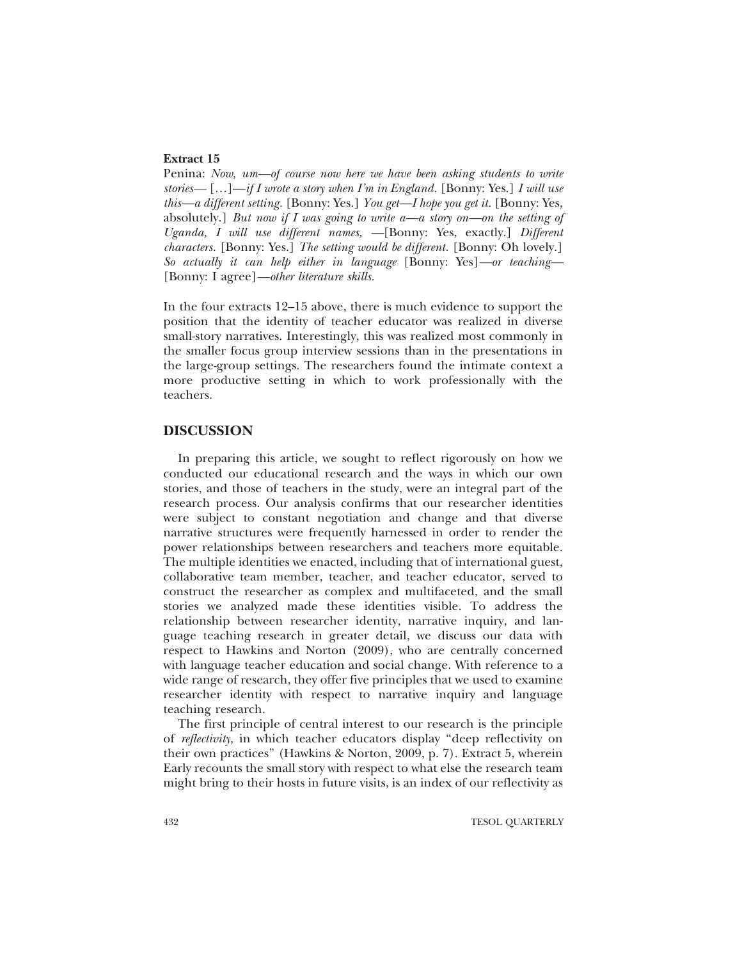#### Extract 15

Penina: Now, um-of course now here we have been asking students to write stories— $[\,\ldots\,]\,\llap{$\;\longrightarrow\;$}$  if I wrote a story when I'm in England. [Bonny: Yes.] I will use this—a different setting. [Bonny: Yes.] You get—I hope you get it. [Bonny: Yes, absolutely.] But now if I was going to write  $a$ —a story on—on the setting of Uganda, I will use different names, —[Bonny: Yes, exactly.] Different characters. [Bonny: Yes.] The setting would be different. [Bonny: Oh lovely.] So actually it can help either in language [Bonny: Yes]—or teaching— [Bonny: I agree]—other literature skills.

In the four extracts 12–15 above, there is much evidence to support the position that the identity of teacher educator was realized in diverse small-story narratives. Interestingly, this was realized most commonly in the smaller focus group interview sessions than in the presentations in the large-group settings. The researchers found the intimate context a more productive setting in which to work professionally with the teachers.

# DISCUSSION

In preparing this article, we sought to reflect rigorously on how we conducted our educational research and the ways in which our own stories, and those of teachers in the study, were an integral part of the research process. Our analysis confirms that our researcher identities were subject to constant negotiation and change and that diverse narrative structures were frequently harnessed in order to render the power relationships between researchers and teachers more equitable. The multiple identities we enacted, including that of international guest, collaborative team member, teacher, and teacher educator, served to construct the researcher as complex and multifaceted, and the small stories we analyzed made these identities visible. To address the relationship between researcher identity, narrative inquiry, and language teaching research in greater detail, we discuss our data with respect to Hawkins and Norton (2009), who are centrally concerned with language teacher education and social change. With reference to a wide range of research, they offer five principles that we used to examine researcher identity with respect to narrative inquiry and language teaching research.

The first principle of central interest to our research is the principle of reflectivity, in which teacher educators display ''deep reflectivity on their own practices'' (Hawkins & Norton, 2009, p. 7). Extract 5, wherein Early recounts the small story with respect to what else the research team might bring to their hosts in future visits, is an index of our reflectivity as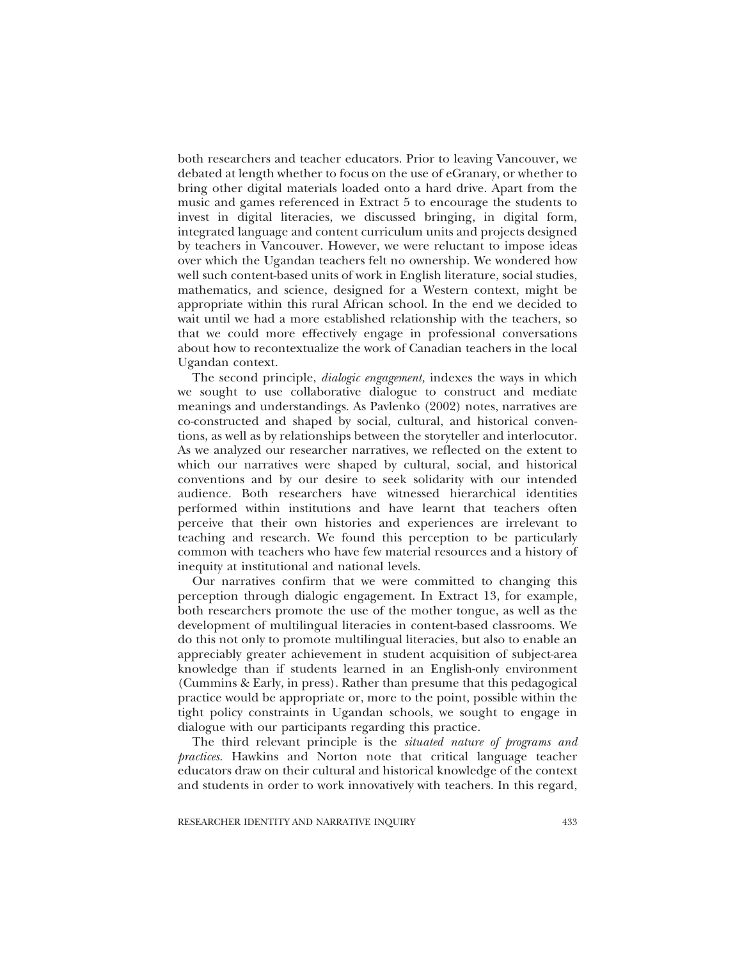both researchers and teacher educators. Prior to leaving Vancouver, we debated at length whether to focus on the use of eGranary, or whether to bring other digital materials loaded onto a hard drive. Apart from the music and games referenced in Extract 5 to encourage the students to invest in digital literacies, we discussed bringing, in digital form, integrated language and content curriculum units and projects designed by teachers in Vancouver. However, we were reluctant to impose ideas over which the Ugandan teachers felt no ownership. We wondered how well such content-based units of work in English literature, social studies, mathematics, and science, designed for a Western context, might be appropriate within this rural African school. In the end we decided to wait until we had a more established relationship with the teachers, so that we could more effectively engage in professional conversations about how to recontextualize the work of Canadian teachers in the local Ugandan context.

The second principle, *dialogic engagement*, indexes the ways in which we sought to use collaborative dialogue to construct and mediate meanings and understandings. As Pavlenko (2002) notes, narratives are co-constructed and shaped by social, cultural, and historical conventions, as well as by relationships between the storyteller and interlocutor. As we analyzed our researcher narratives, we reflected on the extent to which our narratives were shaped by cultural, social, and historical conventions and by our desire to seek solidarity with our intended audience. Both researchers have witnessed hierarchical identities performed within institutions and have learnt that teachers often perceive that their own histories and experiences are irrelevant to teaching and research. We found this perception to be particularly common with teachers who have few material resources and a history of inequity at institutional and national levels.

Our narratives confirm that we were committed to changing this perception through dialogic engagement. In Extract 13, for example, both researchers promote the use of the mother tongue, as well as the development of multilingual literacies in content-based classrooms. We do this not only to promote multilingual literacies, but also to enable an appreciably greater achievement in student acquisition of subject-area knowledge than if students learned in an English-only environment (Cummins & Early, in press). Rather than presume that this pedagogical practice would be appropriate or, more to the point, possible within the tight policy constraints in Ugandan schools, we sought to engage in dialogue with our participants regarding this practice.

The third relevant principle is the *situated nature of programs and* practices. Hawkins and Norton note that critical language teacher educators draw on their cultural and historical knowledge of the context and students in order to work innovatively with teachers. In this regard,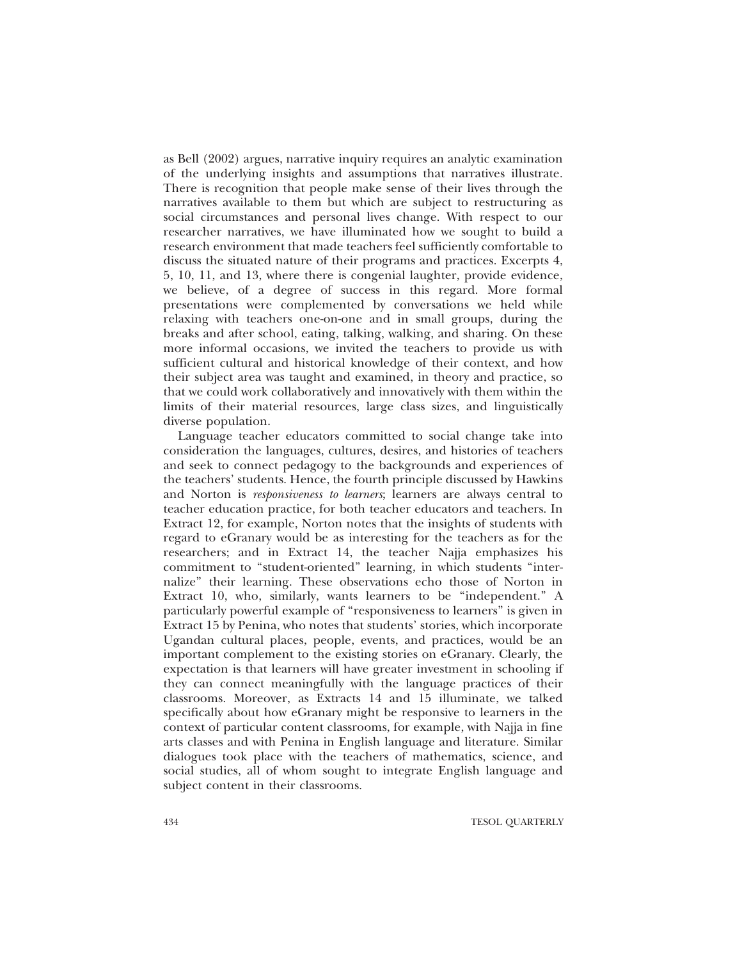as Bell (2002) argues, narrative inquiry requires an analytic examination of the underlying insights and assumptions that narratives illustrate. There is recognition that people make sense of their lives through the narratives available to them but which are subject to restructuring as social circumstances and personal lives change. With respect to our researcher narratives, we have illuminated how we sought to build a research environment that made teachers feel sufficiently comfortable to discuss the situated nature of their programs and practices. Excerpts 4, 5, 10, 11, and 13, where there is congenial laughter, provide evidence, we believe, of a degree of success in this regard. More formal presentations were complemented by conversations we held while relaxing with teachers one-on-one and in small groups, during the breaks and after school, eating, talking, walking, and sharing. On these more informal occasions, we invited the teachers to provide us with sufficient cultural and historical knowledge of their context, and how their subject area was taught and examined, in theory and practice, so that we could work collaboratively and innovatively with them within the limits of their material resources, large class sizes, and linguistically diverse population.

Language teacher educators committed to social change take into consideration the languages, cultures, desires, and histories of teachers and seek to connect pedagogy to the backgrounds and experiences of the teachers' students. Hence, the fourth principle discussed by Hawkins and Norton is responsiveness to learners; learners are always central to teacher education practice, for both teacher educators and teachers. In Extract 12, for example, Norton notes that the insights of students with regard to eGranary would be as interesting for the teachers as for the researchers; and in Extract 14, the teacher Najja emphasizes his commitment to "student-oriented" learning, in which students "internalize'' their learning. These observations echo those of Norton in Extract 10, who, similarly, wants learners to be ''independent.'' A particularly powerful example of ''responsiveness to learners'' is given in Extract 15 by Penina, who notes that students' stories, which incorporate Ugandan cultural places, people, events, and practices, would be an important complement to the existing stories on eGranary. Clearly, the expectation is that learners will have greater investment in schooling if they can connect meaningfully with the language practices of their classrooms. Moreover, as Extracts 14 and 15 illuminate, we talked specifically about how eGranary might be responsive to learners in the context of particular content classrooms, for example, with Najja in fine arts classes and with Penina in English language and literature. Similar dialogues took place with the teachers of mathematics, science, and social studies, all of whom sought to integrate English language and subject content in their classrooms.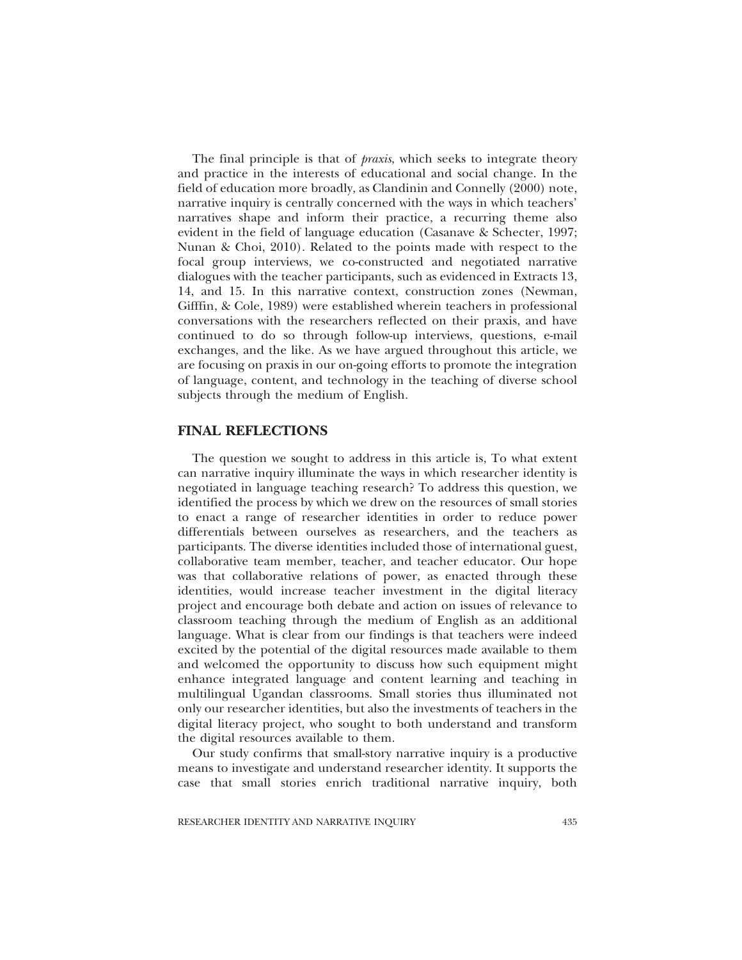The final principle is that of *praxis*, which seeks to integrate theory and practice in the interests of educational and social change. In the field of education more broadly, as Clandinin and Connelly (2000) note, narrative inquiry is centrally concerned with the ways in which teachers' narratives shape and inform their practice, a recurring theme also evident in the field of language education (Casanave & Schecter, 1997; Nunan & Choi, 2010). Related to the points made with respect to the focal group interviews, we co-constructed and negotiated narrative dialogues with the teacher participants, such as evidenced in Extracts 13, 14, and 15. In this narrative context, construction zones (Newman, Gifffin, & Cole, 1989) were established wherein teachers in professional conversations with the researchers reflected on their praxis, and have continued to do so through follow-up interviews, questions, e-mail exchanges, and the like. As we have argued throughout this article, we are focusing on praxis in our on-going efforts to promote the integration of language, content, and technology in the teaching of diverse school subjects through the medium of English.

## FINAL REFLECTIONS

The question we sought to address in this article is, To what extent can narrative inquiry illuminate the ways in which researcher identity is negotiated in language teaching research? To address this question, we identified the process by which we drew on the resources of small stories to enact a range of researcher identities in order to reduce power differentials between ourselves as researchers, and the teachers as participants. The diverse identities included those of international guest, collaborative team member, teacher, and teacher educator. Our hope was that collaborative relations of power, as enacted through these identities, would increase teacher investment in the digital literacy project and encourage both debate and action on issues of relevance to classroom teaching through the medium of English as an additional language. What is clear from our findings is that teachers were indeed excited by the potential of the digital resources made available to them and welcomed the opportunity to discuss how such equipment might enhance integrated language and content learning and teaching in multilingual Ugandan classrooms. Small stories thus illuminated not only our researcher identities, but also the investments of teachers in the digital literacy project, who sought to both understand and transform the digital resources available to them.

Our study confirms that small-story narrative inquiry is a productive means to investigate and understand researcher identity. It supports the case that small stories enrich traditional narrative inquiry, both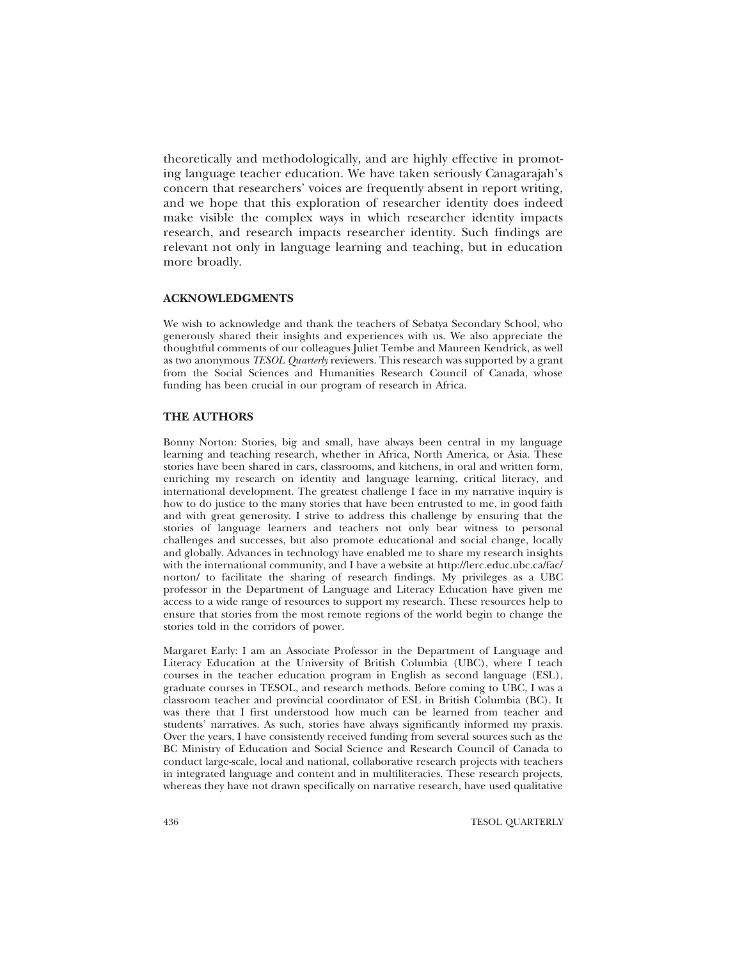theoretically and methodologically, and are highly effective in promoting language teacher education. We have taken seriously Canagarajah's concern that researchers' voices are frequently absent in report writing, and we hope that this exploration of researcher identity does indeed make visible the complex ways in which researcher identity impacts research, and research impacts researcher identity. Such findings are relevant not only in language learning and teaching, but in education more broadly.

# ACKNOWLEDGMENTS

We wish to acknowledge and thank the teachers of Sebatya Secondary School, who generously shared their insights and experiences with us. We also appreciate the thoughtful comments of our colleagues Juliet Tembe and Maureen Kendrick, as well as two anonymous TESOL Quarterly reviewers. This research was supported by a grant from the Social Sciences and Humanities Research Council of Canada, whose funding has been crucial in our program of research in Africa.

#### THE AUTHORS

Bonny Norton: Stories, big and small, have always been central in my language learning and teaching research, whether in Africa, North America, or Asia. These stories have been shared in cars, classrooms, and kitchens, in oral and written form, enriching my research on identity and language learning, critical literacy, and international development. The greatest challenge I face in my narrative inquiry is how to do justice to the many stories that have been entrusted to me, in good faith and with great generosity. I strive to address this challenge by ensuring that the stories of language learners and teachers not only bear witness to personal challenges and successes, but also promote educational and social change, locally and globally. Advances in technology have enabled me to share my research insights with the international community, and I have a website at http://lerc.educ.ubc.ca/fac/ norton/ to facilitate the sharing of research findings. My privileges as a UBC professor in the Department of Language and Literacy Education have given me access to a wide range of resources to support my research. These resources help to ensure that stories from the most remote regions of the world begin to change the stories told in the corridors of power.

Margaret Early: I am an Associate Professor in the Department of Language and Literacy Education at the University of British Columbia (UBC), where I teach courses in the teacher education program in English as second language (ESL), graduate courses in TESOL, and research methods. Before coming to UBC, I was a classroom teacher and provincial coordinator of ESL in British Columbia (BC). It was there that I first understood how much can be learned from teacher and students' narratives. As such, stories have always significantly informed my praxis. Over the years, I have consistently received funding from several sources such as the BC Ministry of Education and Social Science and Research Council of Canada to conduct large-scale, local and national, collaborative research projects with teachers in integrated language and content and in multiliteracies. These research projects, whereas they have not drawn specifically on narrative research, have used qualitative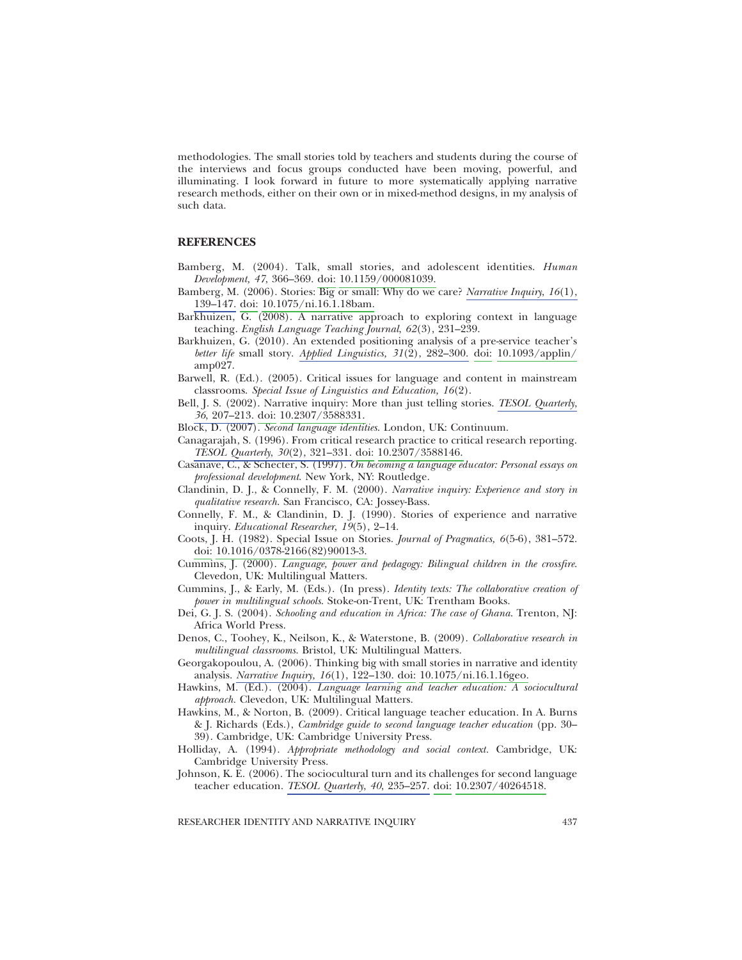methodologies. The small stories told by teachers and students during the course of the interviews and focus groups conducted have been moving, powerful, and illuminating. I look forward in future to more systematically applying narrative research methods, either on their own or in mixed-method designs, in my analysis of such data.

#### REFERENCES

- Bamberg, M. (2004). Talk, small stories, and adolescent identities. Human Development, 47, 366–369. doi: 10.1159/000081039.
- Bamberg, M. (2006). Stories:  $\overline{\text{Big}}$  or small: Why do we care? Narrative Inquiry, 16(1), 139–147. doi: 10.1075/ni.16.1.18bam.
- Barkhuizen, G. (2008). A narrative approach to exploring context in language teaching. English Language Teaching Journal, 62(3), 231–239.
- Barkhuizen, G. (2010). An extended positioning analysis of a pre-service teacher's better life small story. Applied Linguistics, 31(2), 282–300. doi: 10.1093/applin/ amp027.
- Barwell, R. (Ed.). (2005). Critical issues for language and content in mainstream classrooms. Special Issue of Linguistics and Education, 16(2).
- Bell, J. S. (2002). Narrative inquiry: More than just telling stories. TESOL Quarterly, 36, 207–213. doi: 10.2307/3588331.
- Block, D. (2007). Second language identities. London, UK: Continuum.
- Canagarajah, S. (1996). From critical research practice to critical research reporting. TESOL Quarterly,  $30(2)$ ,  $321-331$ . doi:  $10.2307/3588146$ .
- Casanave, C., & Schecter, S. (1997). On becoming a language educator: Personal essays on professional development. New York, NY: Routledge.
- Clandinin, D. J., & Connelly, F. M. (2000). Narrative inquiry: Experience and story in qualitative research. San Francisco, CA: Jossey-Bass.
- Connelly, F. M., & Clandinin, D. J. (1990). Stories of experience and narrative inquiry. Educational Researcher, 19(5), 2–14.
- Coots, J. H. (1982). Special Issue on Stories. Journal of Pragmatics, 6(5-6), 381–572. doi: 10.1016/0378-2166(82)90013-3.
- Cummins, J. (2000). Language, power and pedagogy: Bilingual children in the crossfire. Clevedon, UK: Multilingual Matters.
- Cummins, J., & Early, M. (Eds.). (In press). Identity texts: The collaborative creation of power in multilingual schools. Stoke-on-Trent, UK: Trentham Books.
- Dei, G. J. S. (2004). Schooling and education in Africa: The case of Ghana. Trenton, NJ: Africa World Press.
- Denos, C., Toohey, K., Neilson, K., & Waterstone, B. (2009). Collaborative research in multilingual classrooms. Bristol, UK: Multilingual Matters.
- Georgakopoulou, A. (2006). Thinking big with small stories in narrative and identity analysis. Narrative Inquiry, 16(1), 122–130. doi: 10.1075/ni.16.1.16geo.
- Hawkins, M. (Ed.). (2004). Language learning and teacher education: A sociocultural approach. Clevedon, UK: Multilingual Matters.
- Hawkins, M., & Norton, B. (2009). Critical language teacher education. In A. Burns & J. Richards (Eds.), Cambridge guide to second language teacher education (pp. 30– 39). Cambridge, UK: Cambridge University Press.
- Holliday, A. (1994). Appropriate methodology and social context. Cambridge, UK: Cambridge University Press.
- Johnson, K. E. (2006). The sociocultural turn and its challenges for second language teacher education. TESOL Quarterly, 40, 235–257. doi: 10.2307/40264518.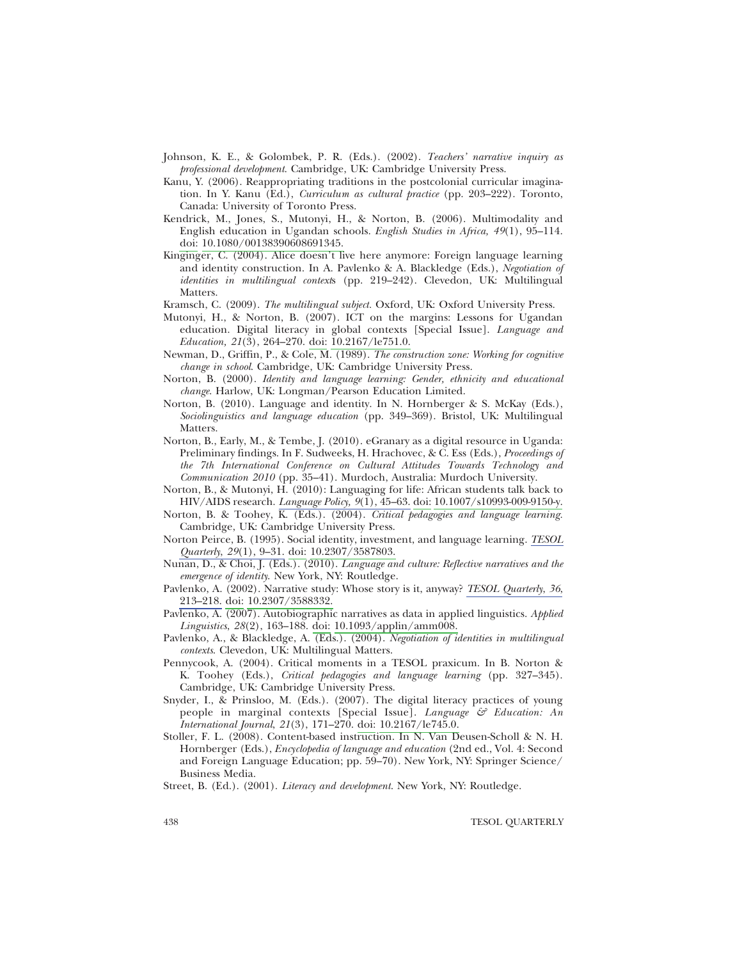- Johnson, K. E., & Golombek, P. R. (Eds.). (2002). Teachers' narrative inquiry as professional development. Cambridge, UK: Cambridge University Press.
- Kanu, Y. (2006). Reappropriating traditions in the postcolonial curricular imagination. In Y. Kanu (Ed.), Curriculum as cultural practice (pp. 203–222). Toronto, Canada: University of Toronto Press.
- Kendrick, M., Jones, S., Mutonyi, H., & Norton, B. (2006). Multimodality and English education in Ugandan schools. English Studies in Africa, 49(1), 95–114. doi: 10.1080/00138390608691345.
- Kinginger, C. (2004). Alice doesn't live here anymore: Foreign language learning and identity construction. In A. Pavlenko & A. Blackledge (Eds.), Negotiation of identities in multilingual contexts (pp. 219–242). Clevedon, UK: Multilingual Matters.
- Kramsch, C. (2009). The multilingual subject. Oxford, UK: Oxford University Press.
- Mutonyi, H., & Norton, B. (2007). ICT on the margins: Lessons for Ugandan education. Digital literacy in global contexts [Special Issue]. Language and Education, 21(3), 264–270. doi: 10.2167/le751.0.
- Newman, D., Griffin, P., & Cole, M. (1989). The construction zone: Working for cognitive change in school. Cambridge, UK: Cambridge University Press.
- Norton, B. (2000). Identity and language learning: Gender, ethnicity and educational change. Harlow, UK: Longman/Pearson Education Limited.
- Norton, B. (2010). Language and identity. In N. Hornberger & S. McKay (Eds.), Sociolinguistics and language education (pp. 349–369). Bristol, UK: Multilingual Matters.
- Norton, B., Early, M., & Tembe, J. (2010). eGranary as a digital resource in Uganda: Preliminary findings. In F. Sudweeks, H. Hrachovec, & C. Ess (Eds.), Proceedings of the 7th International Conference on Cultural Attitudes Towards Technology and Communication 2010 (pp. 35–41). Murdoch, Australia: Murdoch University.
- Norton, B., & Mutonyi, H. (2010): Languaging for life: African students talk back to HIV/AIDS research. Language Policy, 9(1), 45–63. doi: 10.1007/s10993-009-9150-y.
- Norton, B. & Toohey, K. (Eds.). (2004). Critical pedagogies and language learning. Cambridge, UK: Cambridge University Press.
- Norton Peirce, B. (1995). Social identity, investment, and language learning. TESOL Quarterly, 29(1), 9–31. doi: 10.2307/3587803.
- Nunan, D., & Choi, J. (Eds.). (2010). Language and culture: Reflective narratives and the emergence of identity. New York, NY: Routledge.
- Pavlenko, A. (2002). Narrative study: Whose story is it, anyway? TESOL Quarterly, 36, 213–218. doi: 10.2307/3588332.
- Pavlenko,  $\overline{A}$ . (2007). Autobiographic narratives as data in applied linguistics. Applied Linguistics, 28(2), 163–188. doi: 10.1093/applin/amm008.
- Pavlenko, A., & Blackledge, A. (Eds.). (2004). Negotiation of identities in multilingual contexts. Clevedon, UK: Multilingual Matters.
- Pennycook, A. (2004). Critical moments in a TESOL praxicum. In B. Norton & K. Toohey (Eds.), Critical pedagogies and language learning (pp. 327–345). Cambridge, UK: Cambridge University Press.
- Snyder, I., & Prinsloo, M. (Eds.). (2007). The digital literacy practices of young people in marginal contexts [Special Issue]. Language  $\mathcal{F}$  Education: An International Journal, 21(3), 171–270. doi: 10.2167/le745.0.
- Stoller, F. L. (2008). Content-based instruction. In N. Van Deusen-Scholl & N. H. Hornberger (Eds.), Encyclopedia of language and education (2nd ed., Vol. 4: Second and Foreign Language Education; pp. 59–70). New York, NY: Springer Science/ Business Media.
- Street, B. (Ed.). (2001). Literacy and development. New York, NY: Routledge.